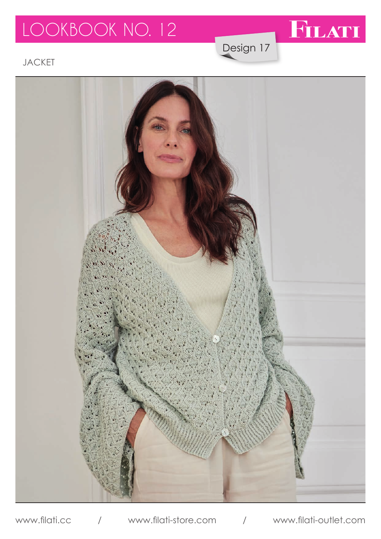# LOOKBOOK NO. 12

FILATI

Design 17

JACKET



www.filati.cc / www.filati-store.com / www.filati-outlet.com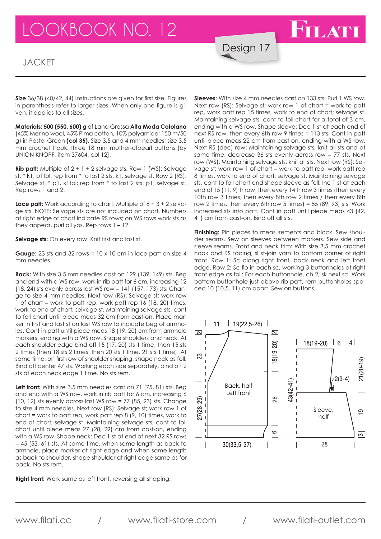## LOOKBOOK NO. 12

#### **JACKET**

**Size** 36/38 (40/42, 44) Instructions are given for first size. Figures in parenthesis refer to larger sizes. When only one figure is given, it applies to all sizes.

**Materials: 500 (550, 600) g** of Lana Grossa **Alta Moda Cotolana** (45% Merino wool, 45% Pima cotton, 10% polyamide; 150 m/50 g) in Pastel Green **(col 35)**. Size 3.5 and 4 mm needles; size 3.5 mm crochet hook; three 18 mm mother-ofpearl buttons [by UNION KNOPF, item 37604, col 12].

**Rib patt:** Multiple of 2 + 1 + 2 selvage sts. Row 1 (WS): Selvage st, \* k1, p1tbl; rep from \* to last 2 sts, k1, selvage st. Row 2 (RS): Selvage st, \* p1, k1tbl; rep from \* to last 2 sts, p1, selvage st. Rep rows 1 and 2.

**Lace patt:** Work according to chart. Multiple of  $8 + 3 + 2$  selvage sts. NOTE: Selvage sts are not included on chart. Numbers at right edge of chart indicate RS rows; on WS rows work sts as they appear, purl all yos. Rep rows 1 – 12.

**Selvage sts:** On every row: Knit first and last st.

**Gauge:** 23 sts and 32 rows =  $10 \times 10$  cm in lace patt on size 4 mm needles.

**Back:** With size 3.5 mm needles cast on 129 (139, 149) sts. Beg and end with a WS row, work in rib patt for 6 cm, increasing 12 (18, 24) sts evenly across last WS row = 141 (157, 173) sts. Change to size 4 mm needles. Next row (RS): Selvage st; work row 1 of chart = work to patt rep, work patt rep 16 (18, 20) times, work to end of chart; selvage st. Maintaining selvage sts, cont to foll chart until piece meas 32 cm from cast-on. Place marker in first and last st on last WS row to indicate beg of armholes. Cont in patt until piece meas 18 (19, 20) cm from armhole markers, ending with a WS row. Shape shoulders and neck: At each shoulder edge bind off 15 (17, 20) sts 1 time, then 15 sts 2 times (then 18 sts 2 times, then 20 sts 1 time, 21 sts 1 time). At same time, on first row of shoulder shaping, shape neck as foll: Bind off center 47 sts. Working each side separately, bind off 2 sts at each neck edge 1 time. No sts rem.

**Left front:** With size 3.5 mm needles cast on 71 (75, 81) sts. Beg and end with a WS row, work in rib patt for 6 cm, increasing 6 (10, 12) sts evenly across last WS row =  $77$  (85, 93) sts. Change to size 4 mm needles. Next row (RS): Selvage st; work row 1 of chart = work to patt rep, work patt rep 8 (9, 10) times, work to end of chart; selvage st. Maintaining selvage sts, cont to foll chart until piece meas 27 (28, 29) cm from cast-on, ending with a WS row. Shape neck: Dec 1 st at end of next 32 RS rows = 45 (53, 61) sts. At same time, when same length as back to armhole, place marker at right edge and when same length as back to shoulder, shape shoulder at right edge same as for back. No sts rem.

**Right front:** Work same as left front, reversing all shaping.

**Sleeves:** With size 4 mm needles cast on 133 sts. Purl 1 WS row. Next row (RS): Selvage st; work row 1 of chart = work to patt rep, work patt rep 15 times, work to end of chart; selvage st. Maintaining selvage sts, cont to foll chart for a total of 3 cm, ending with a WS row. Shape sleeve: Dec 1 st at each end of next RS row, then every 6th row 9 times = 113 sts. Cont in patt until piece meas 22 cm from cast-on, ending with a WS row. Next RS (dec) row: Maintaining selvage sts, knit all sts and at same time, decrease 36 sts evenly across row = 77 sts. Next row (WS): Maintaining selvage sts, knit all sts. Next row (RS): Selvage st; work row 1 of chart = work to patt rep, work patt rep 8 times, work to end of chart; selvage st. Maintaining selvage sts, cont to foll chart and shape sleeve as foll: Inc 1 st at each end of 15 (11, 9)th row, then every 14th row 3 times (then every 10th row 3 times, then every 8th row 2 times / then every 8th row 2 times, then every 6th row 5 times) =  $85$  ( $89$ ,  $93$ ) sts. Work increased sts into patt. Cont in patt until piece meas 43 (42, 41) cm from cast-on. Bind off all sts.

FILATI

Design 17

**Finishing:** Pin pieces to measurements and block. Sew shoulder seams. Sew on sleeves between markers. Sew side and sleeve seams. Front and neck trim: With size 3.5 mm crochet hook and RS facing, sl st-join yarn to bottom corner of right front. Row 1: Sc along right front, back neck and left front edge. Row 2: Sc flo in each sc, working 3 buttonholes at right front edge as foll: For each buttonhole, ch 2, sk next sc. Work bottom buttonhole just above rib patt, rem buttonholes spaced 10 (10.5, 11) cm apart. Sew on buttons.